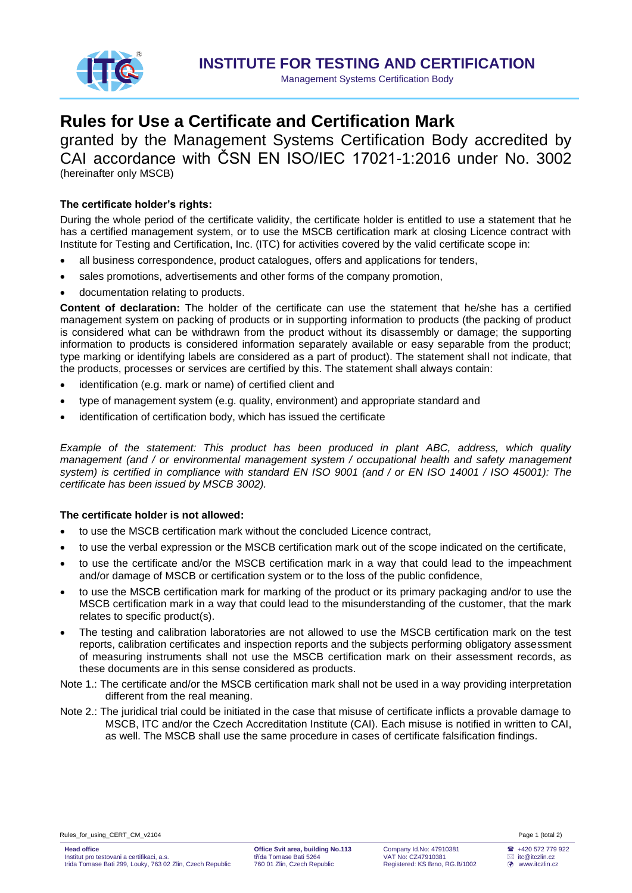

Management Systems Certification Body

# **Rules for Use a Certificate and Certification Mark**

granted by the Management Systems Certification Body accredited by CAI accordance with ČSN EN ISO/IEC 17021-1:2016 under No. 3002 (hereinafter only MSCB)

## **The certificate holder's rights:**

During the whole period of the certificate validity, the certificate holder is entitled to use a statement that he has a certified management system, or to use the MSCB certification mark at closing Licence contract with Institute for Testing and Certification, Inc. (ITC) for activities covered by the valid certificate scope in:

- all business correspondence, product catalogues, offers and applications for tenders,
- sales promotions, advertisements and other forms of the company promotion,
- documentation relating to products.

**Content of declaration:** The holder of the certificate can use the statement that he/she has a certified management system on packing of products or in supporting information to products (the packing of product is considered what can be withdrawn from the product without its disassembly or damage; the supporting information to products is considered information separately available or easy separable from the product; type marking or identifying labels are considered as a part of product). The statement shall not indicate, that the products, processes or services are certified by this. The statement shall always contain:

- identification (e.g. mark or name) of certified client and
- type of management system (e.g. quality, environment) and appropriate standard and
- identification of certification body, which has issued the certificate

*Example of the statement: This product has been produced in plant ABC, address, which quality management (and / or environmental management system / occupational health and safety management system) is certified in compliance with standard EN ISO 9001 (and / or EN ISO 14001 / ISO 45001): The certificate has been issued by MSCB 3002).*

### **The certificate holder is not allowed:**

- to use the MSCB certification mark without the concluded Licence contract,
- to use the verbal expression or the MSCB certification mark out of the scope indicated on the certificate,
- to use the certificate and/or the MSCB certification mark in a way that could lead to the impeachment and/or damage of MSCB or certification system or to the loss of the public confidence,
- to use the MSCB certification mark for marking of the product or its primary packaging and/or to use the MSCB certification mark in a way that could lead to the misunderstanding of the customer, that the mark relates to specific product(s).
- The testing and calibration laboratories are not allowed to use the MSCB certification mark on the test reports, calibration certificates and inspection reports and the subjects performing obligatory assessment of measuring instruments shall not use the MSCB certification mark on their assessment records, as these documents are in this sense considered as products.
- Note 1.: The certificate and/or the MSCB certification mark shall not be used in a way providing interpretation different from the real meaning.
- Note 2.: The juridical trial could be initiated in the case that misuse of certificate inflicts a provable damage to MSCB, ITC and/or the Czech Accreditation Institute (CAI). Each misuse is notified in written to CAI, as well. The MSCB shall use the same procedure in cases of certificate falsification findings.

Rules for using CERT CM v2104 **Page 1** (total 2)